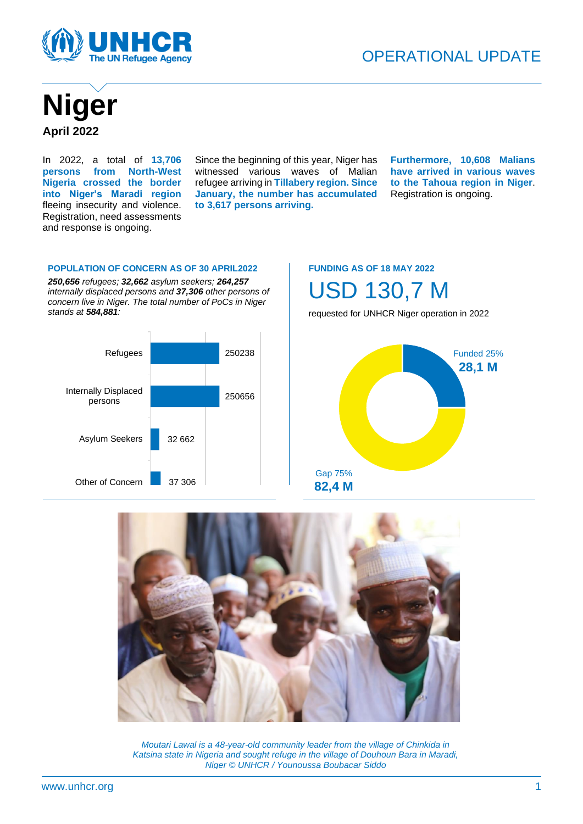



In 2022, a total of **13,706 persons from North-West Nigeria crossed the border into Niger's Maradi region** fleeing insecurity and violence. Registration, need assessments and response is ongoing.

Since the beginning of this year, Niger has witnessed various waves of Malian refugee arriving in **Tillabery region. Since January, the number has accumulated to 3,617 persons arriving.**

**Furthermore, 10,608 Malians have arrived in various waves to the Tahoua region in Niger**. Registration is ongoing.

#### **POPULATION OF CONCERN AS OF 30 APRIL2022**

*250,656 refugees; 32,662 asylum seekers; 264,257 internally displaced persons and 37,306 other persons of concern live in Niger. The total number of PoCs in Niger stands at 584,881:*



#### **FUNDING AS OF 18 MAY 2022**

USD 130,7 M

requested for UNHCR Niger operation in 2022





*Moutari Lawal is a 48-year-old community leader from the village of Chinkida in Katsina state in Nigeria and sought refuge in the village of Douhoun Bara in Maradi, Niger © UNHCR / Younoussa Boubacar Siddo*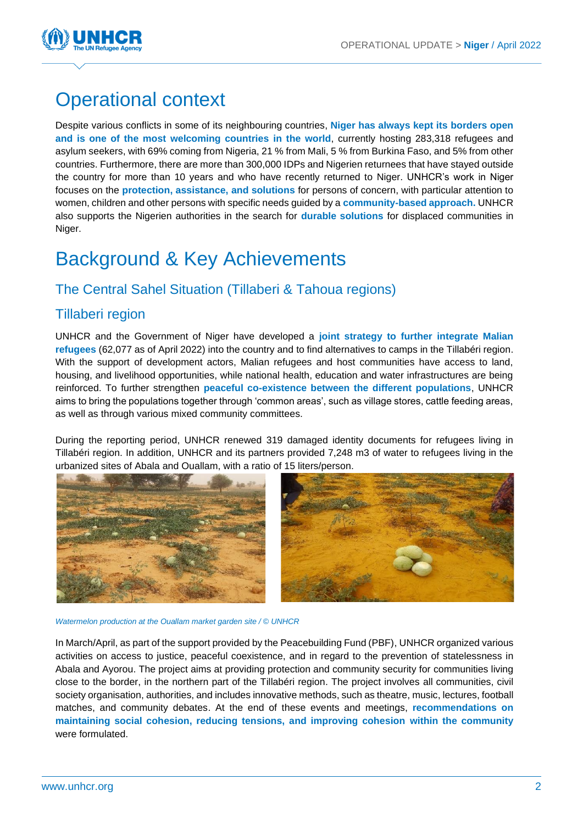

# Operational context

Despite various conflicts in some of its neighbouring countries, **Niger has always kept its borders open and is one of the most welcoming countries in the world**, currently hosting 283,318 refugees and asylum seekers, with 69% coming from Nigeria, 21 % from Mali, 5 % from Burkina Faso, and 5% from other countries. Furthermore, there are more than 300,000 IDPs and Nigerien returnees that have stayed outside the country for more than 10 years and who have recently returned to Niger. UNHCR's work in Niger focuses on the **protection, assistance, and solutions** for persons of concern, with particular attention to women, children and other persons with specific needs guided by a **community-based approach.** UNHCR also supports the Nigerien authorities in the search for **durable solutions** for displaced communities in Niger.

## Background & Key Achievements

## The Central Sahel Situation (Tillaberi & Tahoua regions)

### Tillaberi region

UNHCR and the Government of Niger have developed a **joint strategy to further integrate Malian refugees** (62,077 as of April 2022) into the country and to find alternatives to camps in the Tillabéri region. With the support of development actors, Malian refugees and host communities have access to land, housing, and livelihood opportunities, while national health, education and water infrastructures are being reinforced. To further strengthen **peaceful co-existence between the different populations**, UNHCR aims to bring the populations together through 'common areas', such as village stores, cattle feeding areas, as well as through various mixed community committees.

During the reporting period, UNHCR renewed 319 damaged identity documents for refugees living in Tillabéri region. In addition, UNHCR and its partners provided 7,248 m3 of water to refugees living in the urbanized sites of Abala and Ouallam, with a ratio of 15 liters/person.





*Watermelon production at the Ouallam market garden site / © UNHCR*

In March/April, as part of the support provided by the Peacebuilding Fund (PBF), UNHCR organized various activities on access to justice, peaceful coexistence, and in regard to the prevention of statelessness in Abala and Ayorou. The project aims at providing protection and community security for communities living close to the border, in the northern part of the Tillabéri region. The project involves all communities, civil society organisation, authorities, and includes innovative methods, such as theatre, music, lectures, football matches, and community debates. At the end of these events and meetings, **recommendations on maintaining social cohesion, reducing tensions, and improving cohesion within the community** were formulated.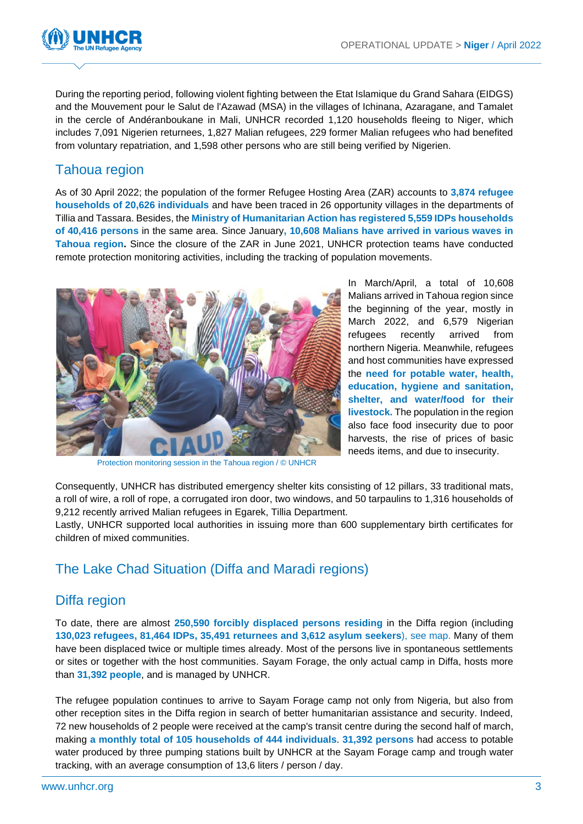

During the reporting period, following violent fighting between the Etat Islamique du Grand Sahara (EIDGS) and the Mouvement pour le Salut de l'Azawad (MSA) in the villages of Ichinana, Azaragane, and Tamalet in the cercle of Andéranboukane in Mali, UNHCR recorded 1,120 households fleeing to Niger, which includes 7,091 Nigerien returnees, 1,827 Malian refugees, 229 former Malian refugees who had benefited from voluntary repatriation, and 1,598 other persons who are still being verified by Nigerien.

## Tahoua region

As of 30 April 2022; the population of the former Refugee Hosting Area (ZAR) accounts to **3,874 refugee households of 20,626 individuals** and have been traced in 26 opportunity villages in the departments of Tillia and Tassara. Besides, the **Ministry of Humanitarian Action has registered 5,559 IDPs households of 40,416 persons** in the same area. Since January**, 10,608 Malians have arrived in various waves in Tahoua region.** Since the closure of the ZAR in June 2021, UNHCR protection teams have conducted remote protection monitoring activities, including the tracking of population movements.



In March/April, a total of 10,608 Malians arrived in Tahoua region since the beginning of the year, mostly in March 2022, and 6,579 Nigerian refugees recently arrived from northern Nigeria. Meanwhile, refugees and host communities have expressed the **need for potable water, health, education, hygiene and sanitation, shelter, and water/food for their livestock.** The population in the region also face food insecurity due to poor harvests, the rise of prices of basic needs items, and due to insecurity.

Protection monitoring session in the Tahoua region / © UNHCR

Consequently, UNHCR has distributed emergency shelter kits consisting of 12 pillars, 33 traditional mats, a roll of wire, a roll of rope, a corrugated iron door, two windows, and 50 tarpaulins to 1,316 households of 9,212 recently arrived Malian refugees in Egarek, Tillia Department.

Lastly, UNHCR supported local authorities in issuing more than 600 supplementary birth certificates for children of mixed communities.

### The Lake Chad Situation (Diffa and Maradi regions)

### Diffa region

To date, there are almost **250,590 forcibly displaced persons residing** in the Diffa region (including **130,023 refugees, 81,464 IDPs, 35,491 returnees and 3,612 asylum seekers**), see map. Many of them have been displaced twice or multiple times already. Most of the persons live in spontaneous settlements or sites or together with the host communities. Sayam Forage, the only actual camp in Diffa, hosts more than **31,392 people**, and is managed by UNHCR.

The refugee population continues to arrive to Sayam Forage camp not only from Nigeria, but also from other reception sites in the Diffa region in search of better humanitarian assistance and security. Indeed, 72 new households of 2 people were received at the camp's transit centre during the second half of march, making **a monthly total of 105 households of 444 individuals**. **31,392 persons** had access to potable water produced by three pumping stations built by UNHCR at the Sayam Forage camp and trough water tracking, with an average consumption of 13,6 liters / person / day.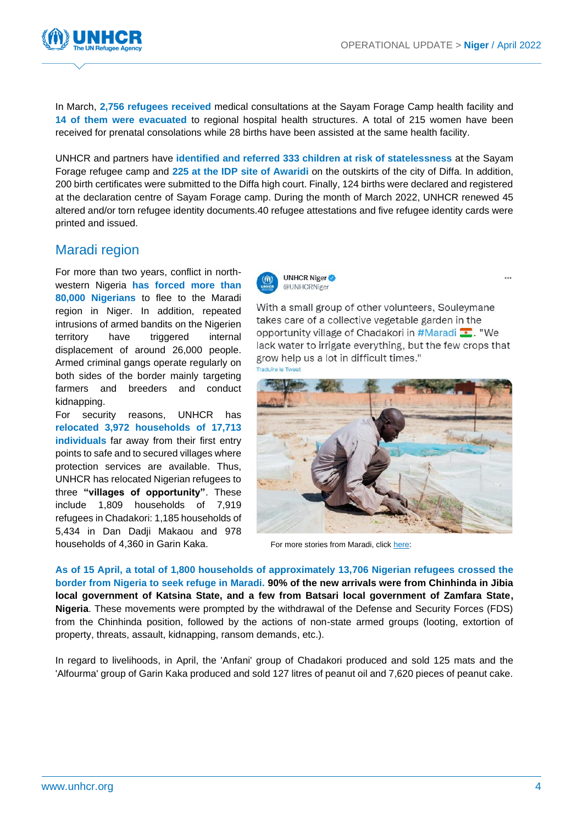

In March, **2,756 refugees received** medical consultations at the Sayam Forage Camp health facility and **14 of them were evacuated** to regional hospital health structures. A total of 215 women have been received for prenatal consolations while 28 births have been assisted at the same health facility.

UNHCR and partners have **identified and referred 333 children at risk of statelessness** at the Sayam Forage refugee camp and **225 at the IDP site of Awaridi** on the outskirts of the city of Diffa. In addition, 200 birth certificates were submitted to the Diffa high court. Finally, 124 births were declared and registered at the declaration centre of Sayam Forage camp. During the month of March 2022, UNHCR renewed 45 altered and/or torn refugee identity documents.40 refugee attestations and five refugee identity cards were printed and issued.

### Maradi region

For more than two years, conflict in northwestern Nigeria **has forced more than 80,000 Nigerians** to flee to the Maradi region in Niger. In addition, repeated intrusions of armed bandits on the Nigerien territory have triggered internal displacement of around 26,000 people. Armed criminal gangs operate regularly on both sides of the border mainly targeting farmers and breeders and conduct kidnapping.

For security reasons, UNHCR has **relocated 3,972 households of 17,713 individuals** far away from their first entry points to safe and to secured villages where protection services are available. Thus, UNHCR has relocated Nigerian refugees to three **"villages of opportunity"**. These include 1,809 households of 7,919 refugees in Chadakori: 1,185 households of 5,434 in Dan Dadji Makaou and 978 households of 4,360 in Garin Kaka. For more stories from Maradi, click [here:](https://twitter.com/UNHCRNiger)



With a small group of other volunteers, Souleymane takes care of a collective vegetable garden in the opportunity village of Chadakori in #Maradi ... "We lack water to irrigate everything, but the few crops that grow help us a lot in difficult times."



**As of 15 April, a total of 1,800 households of approximately 13,706 Nigerian refugees crossed the border from Nigeria to seek refuge in Maradi. 90% of the new arrivals were from Chinhinda in Jibia local government of Katsina State, and a few from Batsari local government of Zamfara State, Nigeria**. These movements were prompted by the withdrawal of the Defense and Security Forces (FDS) from the Chinhinda position, followed by the actions of non-state armed groups (looting, extortion of property, threats, assault, kidnapping, ransom demands, etc.).

In regard to livelihoods, in April, the 'Anfani' group of Chadakori produced and sold 125 mats and the 'Alfourma' group of Garin Kaka produced and sold 127 litres of peanut oil and 7,620 pieces of peanut cake.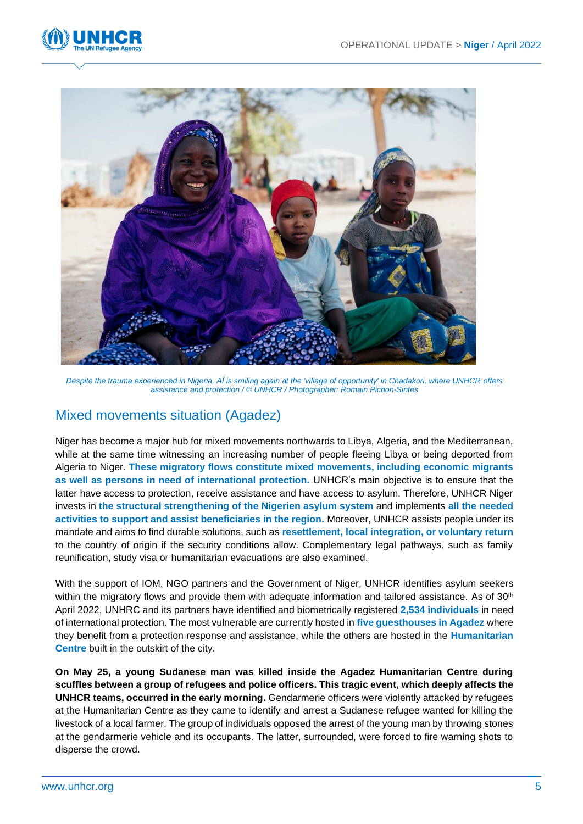



*Despite the trauma experienced in Nigeria, AÏ is smiling again at the 'village of opportunity' in Chadakori, where UNHCR offers assistance and protection / © UNHCR / Photographer: Romain Pichon-Sintes*

### Mixed movements situation (Agadez)

Niger has become a major hub for mixed movements northwards to Libya, Algeria, and the Mediterranean, while at the same time witnessing an increasing number of people fleeing Libya or being deported from Algeria to Niger. **These migratory flows constitute mixed movements, including economic migrants as well as persons in need of international protection.** UNHCR's main objective is to ensure that the latter have access to protection, receive assistance and have access to asylum. Therefore, UNHCR Niger invests in **the structural strengthening of the Nigerien asylum system** and implements **all the needed activities to support and assist beneficiaries in the region.** Moreover, UNHCR assists people under its mandate and aims to find durable solutions, such as **resettlement, local integration, or voluntary return** to the country of origin if the security conditions allow. Complementary legal pathways, such as family reunification, study visa or humanitarian evacuations are also examined.

With the support of IOM, NGO partners and the Government of Niger, UNHCR identifies asylum seekers within the migratory flows and provide them with adequate information and tailored assistance. As of 30<sup>th</sup> April 2022, UNHRC and its partners have identified and biometrically registered **2,534 individuals** in need of international protection. The most vulnerable are currently hosted in **five guesthouses in Agadez** where they benefit from a protection response and assistance, while the others are hosted in the **Humanitarian Centre** built in the outskirt of the city.

**On May 25, a young Sudanese man was killed inside the Agadez Humanitarian Centre during scuffles between a group of refugees and police officers. This tragic event, which deeply affects the UNHCR teams, occurred in the early morning.** Gendarmerie officers were violently attacked by refugees at the Humanitarian Centre as they came to identify and arrest a Sudanese refugee wanted for killing the livestock of a local farmer. The group of individuals opposed the arrest of the young man by throwing stones at the gendarmerie vehicle and its occupants. The latter, surrounded, were forced to fire warning shots to disperse the crowd.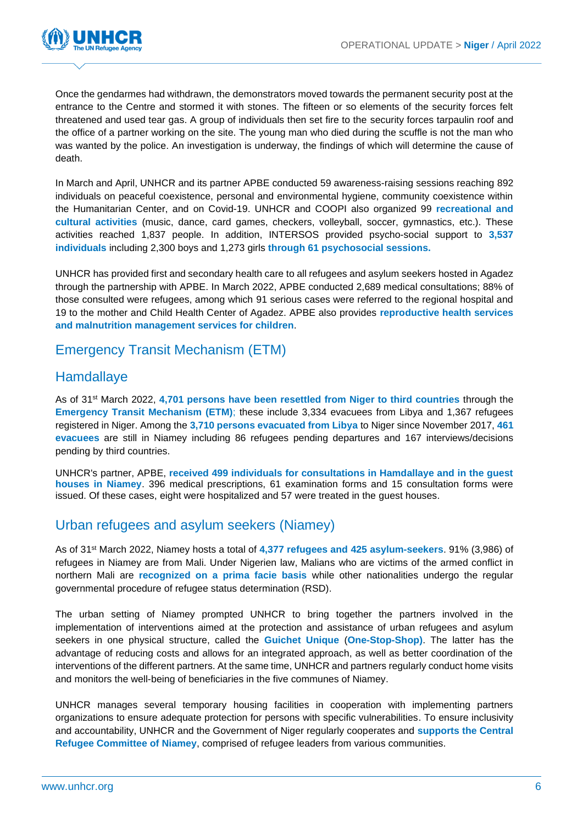

Once the gendarmes had withdrawn, the demonstrators moved towards the permanent security post at the entrance to the Centre and stormed it with stones. The fifteen or so elements of the security forces felt threatened and used tear gas. A group of individuals then set fire to the security forces tarpaulin roof and the office of a partner working on the site. The young man who died during the scuffle is not the man who was wanted by the police. An investigation is underway, the findings of which will determine the cause of death.

In March and April, UNHCR and its partner APBE conducted 59 awareness-raising sessions reaching 892 individuals on peaceful coexistence, personal and environmental hygiene, community coexistence within the Humanitarian Center, and on Covid-19. UNHCR and COOPI also organized 99 **recreational and cultural activities** (music, dance, card games, checkers, volleyball, soccer, gymnastics, etc.). These activities reached 1,837 people. In addition, INTERSOS provided psycho-social support to **3,537 individuals** including 2,300 boys and 1,273 girls **through 61 psychosocial sessions.**

UNHCR has provided first and secondary health care to all refugees and asylum seekers hosted in Agadez through the partnership with APBE. In March 2022, APBE conducted 2,689 medical consultations; 88% of those consulted were refugees, among which 91 serious cases were referred to the regional hospital and 19 to the mother and Child Health Center of Agadez. APBE also provides **reproductive health services and malnutrition management services for children**.

Emergency Transit Mechanism (ETM)

### **Hamdallaye**

As of 31st March 2022, **4,701 persons have been resettled from Niger to third countries** through the **Emergency Transit Mechanism (ETM)**; these include 3,334 evacuees from Libya and 1,367 refugees registered in Niger. Among the **3,710 persons evacuated from Libya** to Niger since November 2017, **461 evacuees** are still in Niamey including 86 refugees pending departures and 167 interviews/decisions pending by third countries.

UNHCR's partner, APBE, **received 499 individuals for consultations in Hamdallaye and in the guest houses in Niamey**. 396 medical prescriptions, 61 examination forms and 15 consultation forms were issued. Of these cases, eight were hospitalized and 57 were treated in the guest houses.

### Urban refugees and asylum seekers (Niamey)

As of 31st March 2022, Niamey hosts a total of **4,377 refugees and 425 asylum-seekers**. 91% (3,986) of refugees in Niamey are from Mali. Under Nigerien law, Malians who are victims of the armed conflict in northern Mali are **recognized on a prima facie basis** while other nationalities undergo the regular governmental procedure of refugee status determination (RSD).

The urban setting of Niamey prompted UNHCR to bring together the partners involved in the implementation of interventions aimed at the protection and assistance of urban refugees and asylum seekers in one physical structure, called the **Guichet Unique** (**One-Stop-Shop)**. The latter has the advantage of reducing costs and allows for an integrated approach, as well as better coordination of the interventions of the different partners. At the same time, UNHCR and partners regularly conduct home visits and monitors the well-being of beneficiaries in the five communes of Niamey.

UNHCR manages several temporary housing facilities in cooperation with implementing partners organizations to ensure adequate protection for persons with specific vulnerabilities. To ensure inclusivity and accountability, UNHCR and the Government of Niger regularly cooperates and **supports the Central Refugee Committee of Niamey**, comprised of refugee leaders from various communities.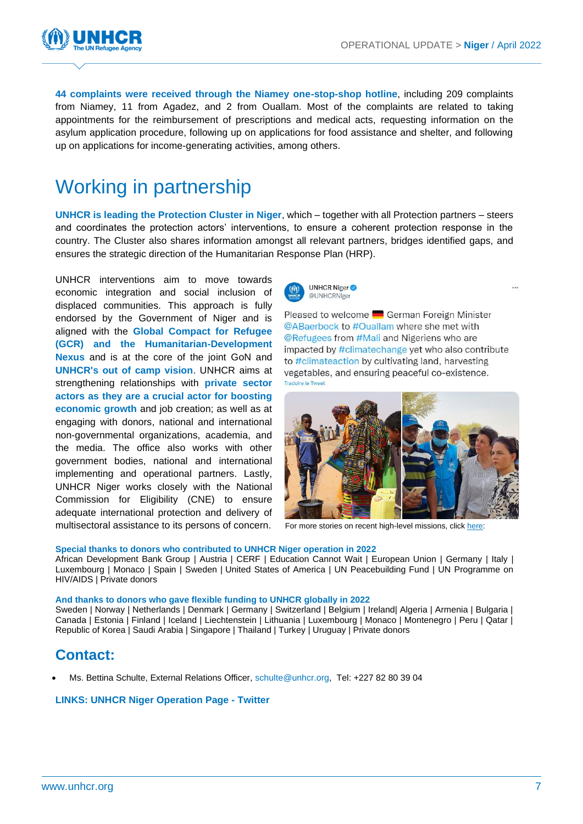$\ddotsc$ 



**44 complaints were received through the Niamey one-stop-shop hotline**, including 209 complaints from Niamey, 11 from Agadez, and 2 from Ouallam. Most of the complaints are related to taking appointments for the reimbursement of prescriptions and medical acts, requesting information on the asylum application procedure, following up on applications for food assistance and shelter, and following up on applications for income-generating activities, among others.

## Working in partnership

**UNHCR is leading the Protection Cluster in Niger**, which – together with all Protection partners – steers and coordinates the protection actors' interventions, to ensure a coherent protection response in the country. The Cluster also shares information amongst all relevant partners, bridges identified gaps, and ensures the strategic direction of the Humanitarian Response Plan (HRP).

UNHCR interventions aim to move towards economic integration and social inclusion of displaced communities. This approach is fully endorsed by the Government of Niger and is aligned with the **Global Compact for Refugee (GCR) and the Humanitarian-Development Nexus** and is at the core of the joint GoN and **UNHCR's out of camp vision**. UNHCR aims at strengthening relationships with **private sector actors as they are a crucial actor for boosting economic growth** and job creation; as well as at engaging with donors, national and international non-governmental organizations, academia, and the media. The office also works with other government bodies, national and international implementing and operational partners. Lastly, UNHCR Niger works closely with the National Commission for Eligibility (CNE) to ensure adequate international protection and delivery of multisectoral assistance to its persons of concern. For more stories on recent high-level missions, clic[k here:](https://twitter.com/UNHCRNiger)



Pleased to welcome **Confirman** Foreign Minister @ABaerbock to #Ouallam where she met with **@Refugees from #Mali and Nigeriens who are** impacted by #climatechange yet who also contribute to #climateaction by cultivating land, harvesting vegetables, and ensuring peaceful co-existence.



#### **Special thanks to donors who contributed to UNHCR Niger operation in 2022**

African Development Bank Group | Austria | CERF | Education Cannot Wait | European Union | Germany | Italy | Luxembourg | Monaco | Spain | Sweden | United States of America | UN Peacebuilding Fund | UN Programme on HIV/AIDS | Private donors

#### **And thanks to donors who gave flexible funding to UNHCR globally in 2022**

Sweden | Norway | Netherlands | Denmark | Germany | Switzerland | Belgium | Ireland| Algeria | Armenia | Bulgaria | Canada | Estonia | Finland | Iceland | Liechtenstein | Lithuania | Luxembourg | Monaco | Montenegro | Peru | Qatar | Republic of Korea | Saudi Arabia | Singapore | Thailand | Turkey | Uruguay | Private donors

### **Contact:**

• Ms. Bettina Schulte, External Relations Officer, [schulte@unhcr.org,](mailto:schulte@unhcr.org) Tel: +227 82 80 39 04

#### **[LINKS: UNHCR Niger Operation Page](https://data.unhcr.org/fr/documents/details/93589) - [Twitter](https://twitter.com/unhcrniger?lang=fr)**